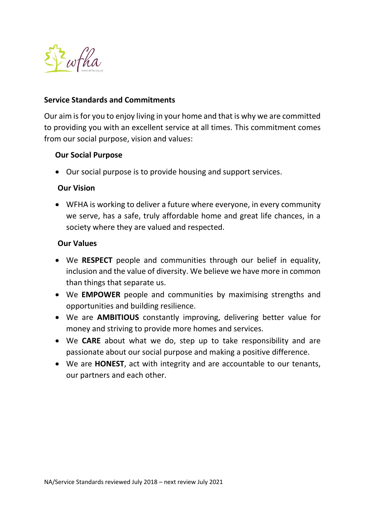

## **Service Standards and Commitments**

Our aim is for you to enjoy living in your home and that is why we are committed to providing you with an excellent service at all times. This commitment comes from our social purpose, vision and values:

# **Our Social Purpose**

Our social purpose is to provide housing and support services.

# **Our Vision**

 WFHA is working to deliver a future where everyone, in every community we serve, has a safe, truly affordable home and great life chances, in a society where they are valued and respected.

## **Our Values**

- We **RESPECT** people and communities through our belief in equality, inclusion and the value of diversity. We believe we have more in common than things that separate us.
- We **EMPOWER** people and communities by maximising strengths and opportunities and building resilience.
- We are **AMBITIOUS** constantly improving, delivering better value for money and striving to provide more homes and services.
- We **CARE** about what we do, step up to take responsibility and are passionate about our social purpose and making a positive difference.
- We are **HONEST**, act with integrity and are accountable to our tenants, our partners and each other.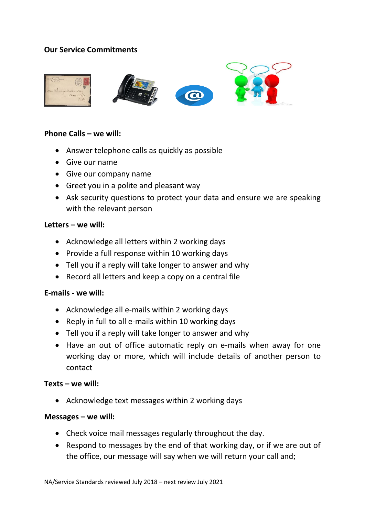# **Our Service Commitments**



## **Phone Calls – we will:**

- Answer telephone calls as quickly as possible
- Give our name
- Give our company name
- Greet you in a polite and pleasant way
- Ask security questions to protect your data and ensure we are speaking with the relevant person

#### **Letters – we will:**

- Acknowledge all letters within 2 working days
- Provide a full response within 10 working days
- Tell you if a reply will take longer to answer and why
- Record all letters and keep a copy on a central file

## **E-mails - we will:**

- Acknowledge all e-mails within 2 working days
- Reply in full to all e-mails within 10 working days
- Tell you if a reply will take longer to answer and why
- Have an out of office automatic reply on e-mails when away for one working day or more, which will include details of another person to contact

#### **Texts – we will:**

Acknowledge text messages within 2 working days

## **Messages – we will:**

- Check voice mail messages regularly throughout the day.
- Respond to messages by the end of that working day, or if we are out of the office, our message will say when we will return your call and;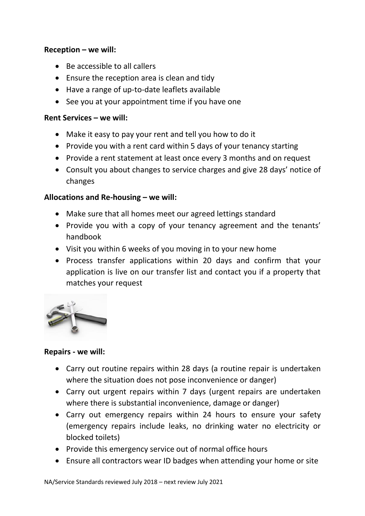# **Reception – we will:**

- Be accessible to all callers
- Ensure the reception area is clean and tidy
- Have a range of up-to-date leaflets available
- See you at your appointment time if you have one

# **Rent Services – we will:**

- Make it easy to pay your rent and tell you how to do it
- Provide you with a rent card within 5 days of your tenancy starting
- Provide a rent statement at least once every 3 months and on request
- Consult you about changes to service charges and give 28 days' notice of changes

# **Allocations and Re-housing – we will:**

- Make sure that all homes meet our agreed lettings standard
- Provide you with a copy of your tenancy agreement and the tenants' handbook
- Visit you within 6 weeks of you moving in to your new home
- Process transfer applications within 20 days and confirm that your application is live on our transfer list and contact you if a property that matches your request



## **Repairs - we will:**

- Carry out routine repairs within 28 days (a routine repair is undertaken where the situation does not pose inconvenience or danger)
- Carry out urgent repairs within 7 days (urgent repairs are undertaken where there is substantial inconvenience, damage or danger)
- Carry out emergency repairs within 24 hours to ensure your safety (emergency repairs include leaks, no drinking water no electricity or blocked toilets)
- Provide this emergency service out of normal office hours
- Ensure all contractors wear ID badges when attending your home or site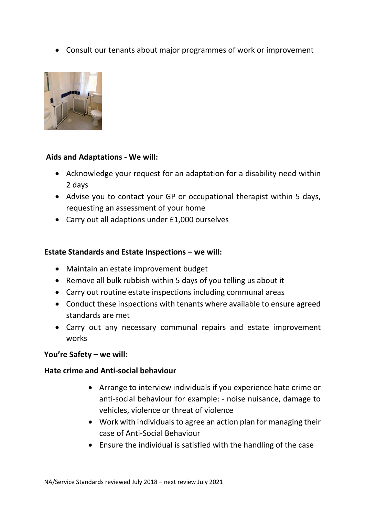Consult our tenants about major programmes of work or improvement



# **Aids and Adaptations - We will:**

- Acknowledge your request for an adaptation for a disability need within 2 days
- Advise you to contact your GP or occupational therapist within 5 days, requesting an assessment of your home
- Carry out all adaptions under £1,000 ourselves

# **Estate Standards and Estate Inspections – we will:**

- Maintain an estate improvement budget
- Remove all bulk rubbish within 5 days of you telling us about it
- Carry out routine estate inspections including communal areas
- Conduct these inspections with tenants where available to ensure agreed standards are met
- Carry out any necessary communal repairs and estate improvement works

## **You're Safety – we will:**

## **Hate crime and Anti-social behaviour**

- Arrange to interview individuals if you experience hate crime or anti-social behaviour for example: - noise nuisance, damage to vehicles, violence or threat of violence
- Work with individuals to agree an action plan for managing their case of Anti-Social Behaviour
- Ensure the individual is satisfied with the handling of the case